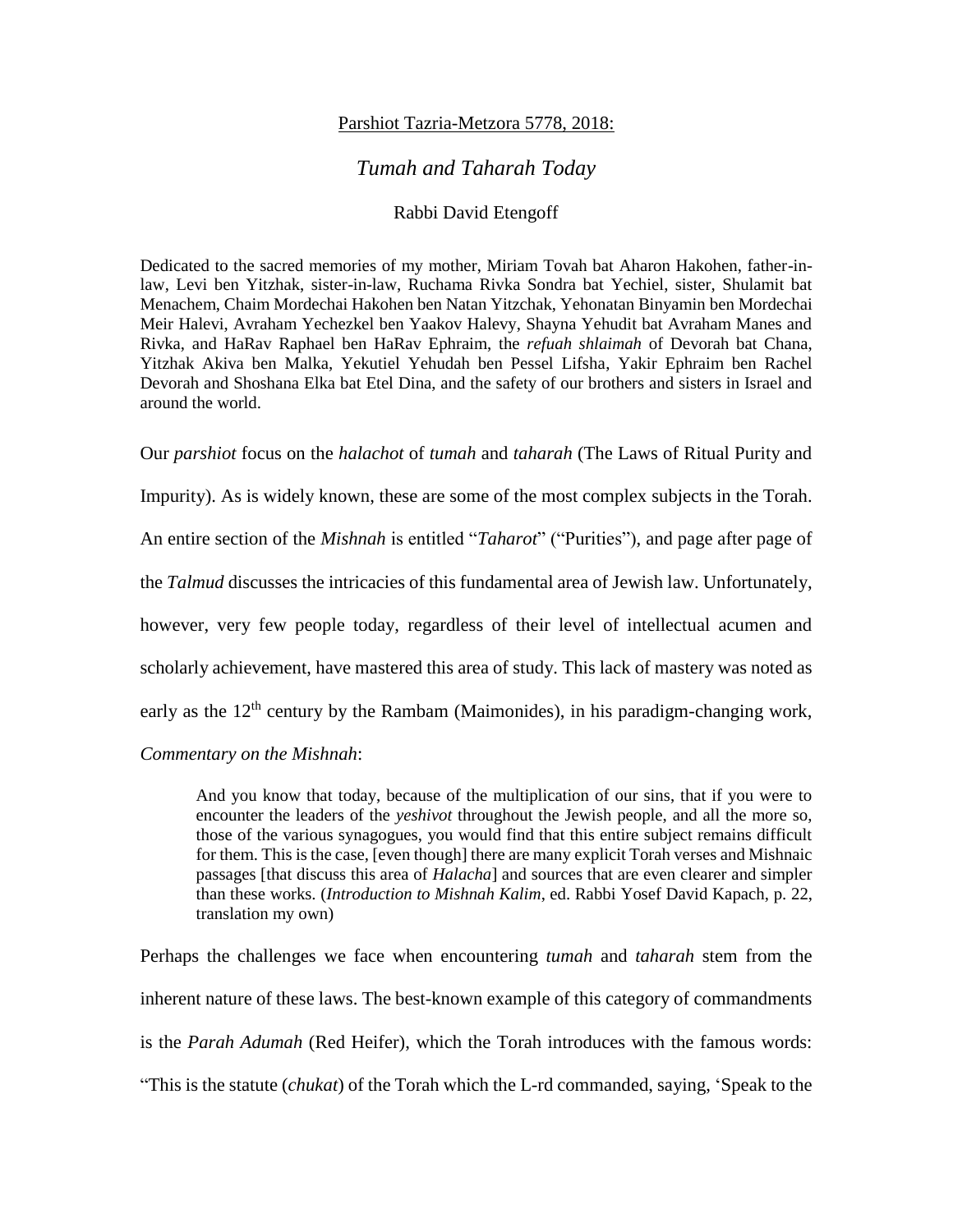## Parshiot Tazria-Metzora 5778, 2018:

## *Tumah and Taharah Today*

## Rabbi David Etengoff

Dedicated to the sacred memories of my mother, Miriam Tovah bat Aharon Hakohen, father-inlaw, Levi ben Yitzhak, sister-in-law, Ruchama Rivka Sondra bat Yechiel, sister, Shulamit bat Menachem, Chaim Mordechai Hakohen ben Natan Yitzchak, Yehonatan Binyamin ben Mordechai Meir Halevi, Avraham Yechezkel ben Yaakov Halevy, Shayna Yehudit bat Avraham Manes and Rivka, and HaRav Raphael ben HaRav Ephraim, the *refuah shlaimah* of Devorah bat Chana, Yitzhak Akiva ben Malka, Yekutiel Yehudah ben Pessel Lifsha, Yakir Ephraim ben Rachel Devorah and Shoshana Elka bat Etel Dina, and the safety of our brothers and sisters in Israel and around the world.

Our *parshiot* focus on the *halachot* of *tumah* and *taharah* (The Laws of Ritual Purity and

Impurity). As is widely known, these are some of the most complex subjects in the Torah.

An entire section of the *Mishnah* is entitled "*Taharot*" ("Purities"), and page after page of

the *Talmud* discusses the intricacies of this fundamental area of Jewish law. Unfortunately,

however, very few people today, regardless of their level of intellectual acumen and

scholarly achievement, have mastered this area of study. This lack of mastery was noted as

early as the  $12<sup>th</sup>$  century by the Rambam (Maimonides), in his paradigm-changing work,

*Commentary on the Mishnah*:

And you know that today, because of the multiplication of our sins, that if you were to encounter the leaders of the *yeshivot* throughout the Jewish people, and all the more so, those of the various synagogues, you would find that this entire subject remains difficult for them. This is the case, [even though] there are many explicit Torah verses and Mishnaic passages [that discuss this area of *Halacha*] and sources that are even clearer and simpler than these works. (*Introduction to Mishnah Kalim*, ed. Rabbi Yosef David Kapach, p. 22, translation my own)

Perhaps the challenges we face when encountering *tumah* and *taharah* stem from the inherent nature of these laws. The best-known example of this category of commandments is the *Parah Adumah* (Red Heifer), which the Torah introduces with the famous words: "This is the statute (*chukat*) of the Torah which the L-rd commanded, saying, 'Speak to the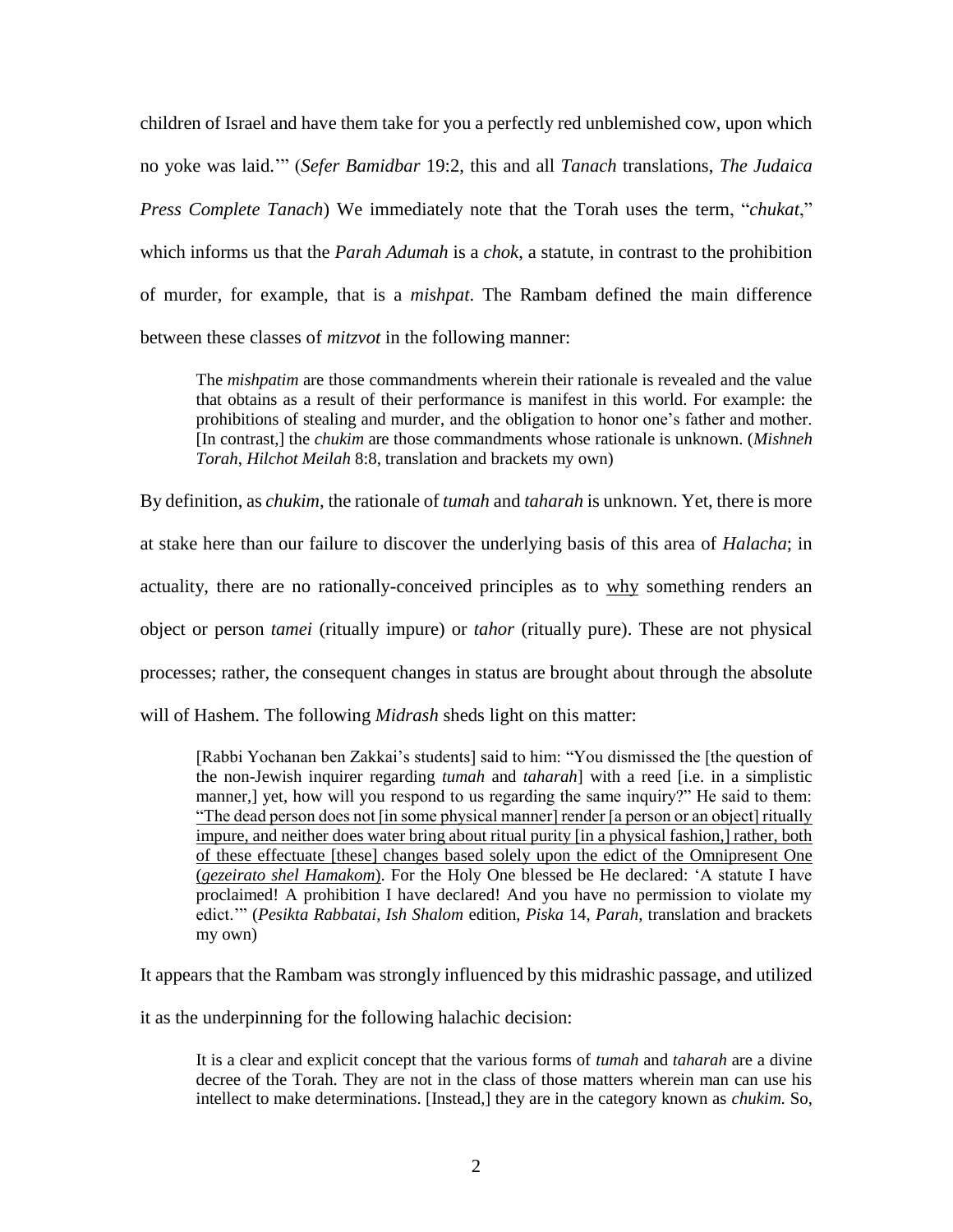children of Israel and have them take for you a perfectly red unblemished cow, upon which no yoke was laid.'" (*Sefer Bamidbar* 19:2, this and all *Tanach* translations, *The Judaica Press Complete Tanach*) We immediately note that the Torah uses the term, "*chukat*," which informs us that the *Parah Adumah* is a *chok*, a statute, in contrast to the prohibition of murder, for example, that is a *mishpat*. The Rambam defined the main difference between these classes of *mitzvot* in the following manner:

The *mishpatim* are those commandments wherein their rationale is revealed and the value that obtains as a result of their performance is manifest in this world. For example: the prohibitions of stealing and murder, and the obligation to honor one's father and mother. [In contrast,] the *chukim* are those commandments whose rationale is unknown. (*Mishneh Torah*, *Hilchot Meilah* 8:8, translation and brackets my own)

By definition, as *chukim*, the rationale of *tumah* and *taharah* is unknown. Yet, there is more at stake here than our failure to discover the underlying basis of this area of *Halacha*; in actuality, there are no rationally-conceived principles as to why something renders an object or person *tamei* (ritually impure) or *tahor* (ritually pure). These are not physical processes; rather, the consequent changes in status are brought about through the absolute will of Hashem. The following *Midrash* sheds light on this matter:

[Rabbi Yochanan ben Zakkai's students] said to him: "You dismissed the [the question of the non-Jewish inquirer regarding *tumah* and *taharah*] with a reed [i.e. in a simplistic manner,] yet, how will you respond to us regarding the same inquiry?" He said to them: "The dead person does not [in some physical manner] render [a person or an object] ritually impure, and neither does water bring about ritual purity [in a physical fashion,] rather, both of these effectuate [these] changes based solely upon the edict of the Omnipresent One (*gezeirato shel Hamakom*). For the Holy One blessed be He declared: 'A statute I have proclaimed! A prohibition I have declared! And you have no permission to violate my edict.'" (*Pesikta Rabbatai*, *Ish Shalom* edition, *Piska* 14, *Parah*, translation and brackets my own)

It appears that the Rambam was strongly influenced by this midrashic passage, and utilized

it as the underpinning for the following halachic decision:

It is a clear and explicit concept that the various forms of *tumah* and *taharah* are a divine decree of the Torah. They are not in the class of those matters wherein man can use his intellect to make determinations. [Instead,] they are in the category known as *chukim.* So,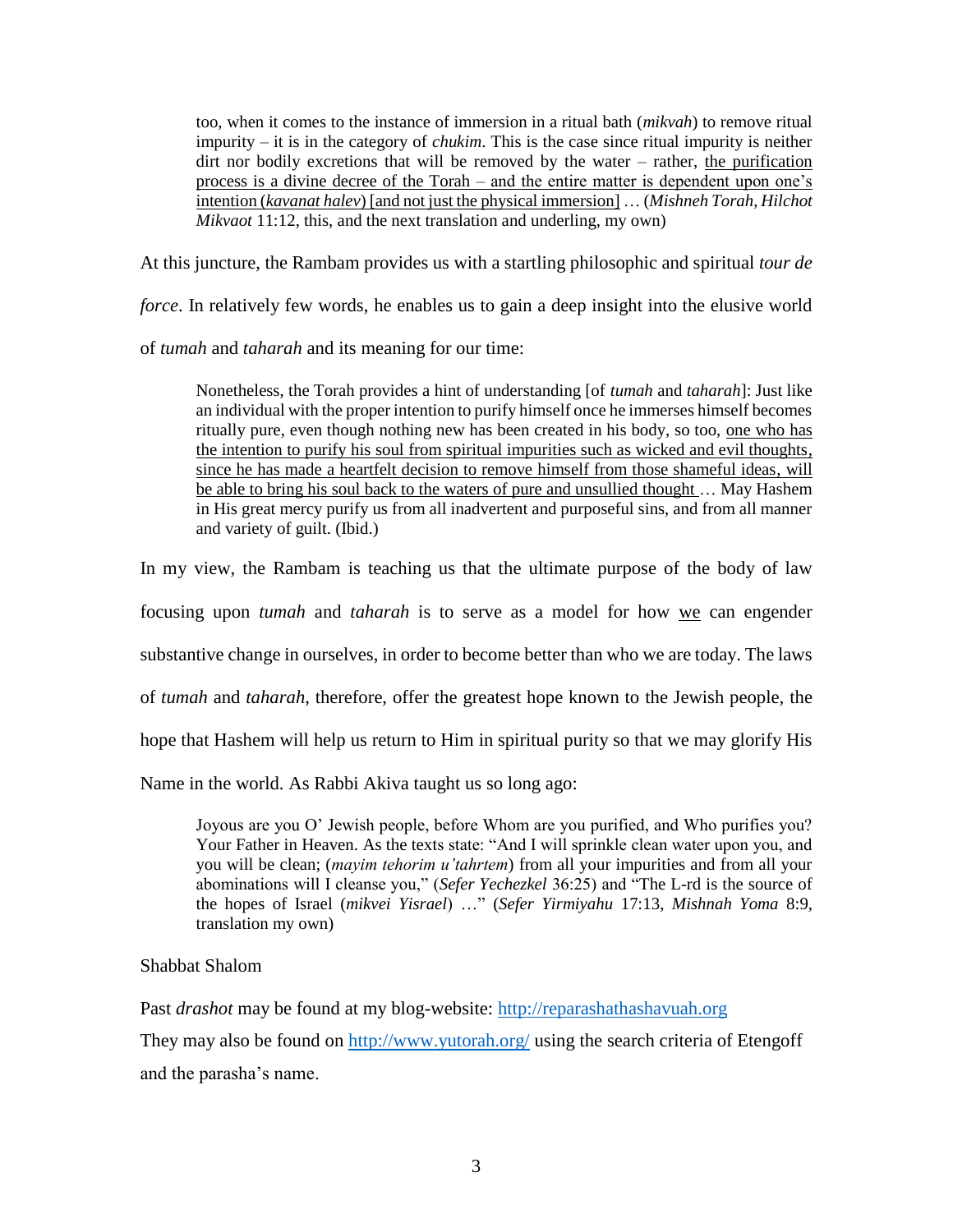too, when it comes to the instance of immersion in a ritual bath (*mikvah*) to remove ritual impurity – it is in the category of *chukim*. This is the case since ritual impurity is neither dirt nor bodily excretions that will be removed by the water – rather, the purification process is a divine decree of the Torah – and the entire matter is dependent upon one's intention (*kavanat halev*) [and not just the physical immersion] … (*Mishneh Torah*, *Hilchot Mikvaot* 11:12, this, and the next translation and underling, my own)

At this juncture, the Rambam provides us with a startling philosophic and spiritual *tour de* 

*force*. In relatively few words, he enables us to gain a deep insight into the elusive world

of *tumah* and *taharah* and its meaning for our time:

Nonetheless, the Torah provides a hint of understanding [of *tumah* and *taharah*]: Just like an individual with the proper intention to purify himself once he immerses himself becomes ritually pure, even though nothing new has been created in his body, so too, one who has the intention to purify his soul from spiritual impurities such as wicked and evil thoughts, since he has made a heartfelt decision to remove himself from those shameful ideas, will be able to bring his soul back to the waters of pure and unsullied thought … May Hashem in His great mercy purify us from all inadvertent and purposeful sins, and from all manner and variety of guilt. (Ibid.)

In my view, the Rambam is teaching us that the ultimate purpose of the body of law

focusing upon *tumah* and *taharah* is to serve as a model for how we can engender

substantive change in ourselves, in order to become better than who we are today. The laws

of *tumah* and *taharah*, therefore, offer the greatest hope known to the Jewish people, the

hope that Hashem will help us return to Him in spiritual purity so that we may glorify His

Name in the world. As Rabbi Akiva taught us so long ago:

Joyous are you O' Jewish people, before Whom are you purified, and Who purifies you? Your Father in Heaven. As the texts state: "And I will sprinkle clean water upon you, and you will be clean; (*mayim tehorim u'tahrtem*) from all your impurities and from all your abominations will I cleanse you," (*Sefer Yechezkel* 36:25) and "The L-rd is the source of the hopes of Israel (*mikvei Yisrael*) …" (*Sefer Yirmiyahu* 17:13, *Mishnah Yoma* 8:9, translation my own)

## Shabbat Shalom

Past *drashot* may be found at my blog-website: [http://reparashathashavuah.org](http://reparashathashavuah.org/)

They may also be found on<http://www.yutorah.org/> using the search criteria of Etengoff and the parasha's name.